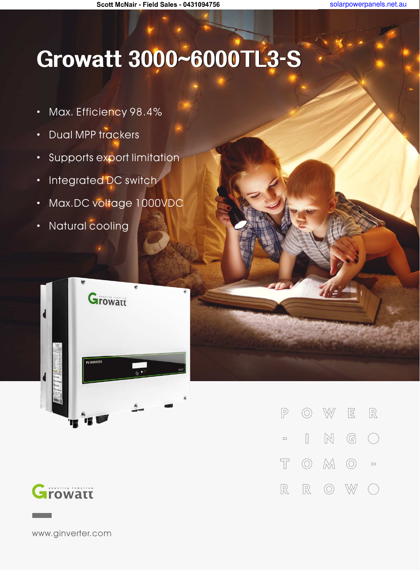solarpowerpanels.net.au

Scott McNair - Field Sales - 0431094756

## **Growatt3000~6000TL3-S**

- · Max. Efficiency 98.4%
- · Dual MPP trackers
- · Supports export limitation
- · Integrated DC switch
- · Max.DC voltage 1000VDC
- · Natural cooling





W  $\boxed{\Xi}$  $\mathbb{R}$  $\circledcirc$  $\sqrt{P}$  $\mathbb{N}$  $\mathbb{G}$  $\begin{bmatrix} \phantom{-} \end{bmatrix}$  $\left(\begin{array}{c}\right)$  $\Box$  $\circledcirc$   $\mathbb{M}$   $\circlearrowright$  $\top$  $\Box$  $\mathbb R$  $\circledcirc$  $\mathbb{R}$ W

www.ginverter.com